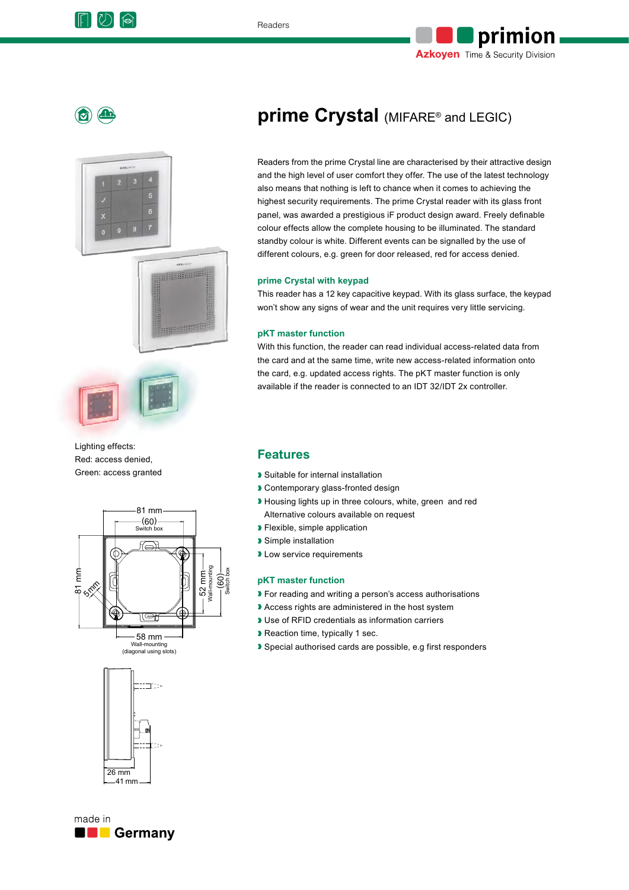





Lighting effects: Red: access denied, Green: access granted





# **prime Crystal** (MIFARE® and LEGIC)

Readers from the prime Crystal line are characterised by their attractive design and the high level of user comfort they offer. The use of the latest technology also means that nothing is left to chance when it comes to achieving the highest security requirements. The prime Crystal reader with its glass front panel, was awarded a prestigious iF product design award. Freely definable colour effects allow the complete housing to be illuminated. The standard standby colour is white. Different events can be signalled by the use of different colours, e.g. green for door released, red for access denied.

#### **prime Crystal with keypad**

This reader has a 12 key capacitive keypad. With its glass surface, the keypad won't show any signs of wear and the unit requires very little servicing.

#### **pKT master function**

With this function, the reader can read individual access-related data from the card and at the same time, write new access-related information onto the card, e.g. updated access rights. The pKT master function is only available if the reader is connected to an IDT 32/IDT 2x controller.

### **Features**

- ❱ Suitable for internal installation
- ❱ Contemporary glass-fronted design
- ❱ Housing lights up in three colours, white, green and red Alternative colours available on request
- ❱ Flexible, simple application
- ❱ Simple installation
- **I** Low service requirements

#### **pKT master function**

- ❱ For reading and writing a person's access authorisations
- ❱ Access rights are administered in the host system
- Use of RFID credentials as information carriers
- ❱ Reaction time, typically 1 sec.
- Special authorised cards are possible, e.g first responders